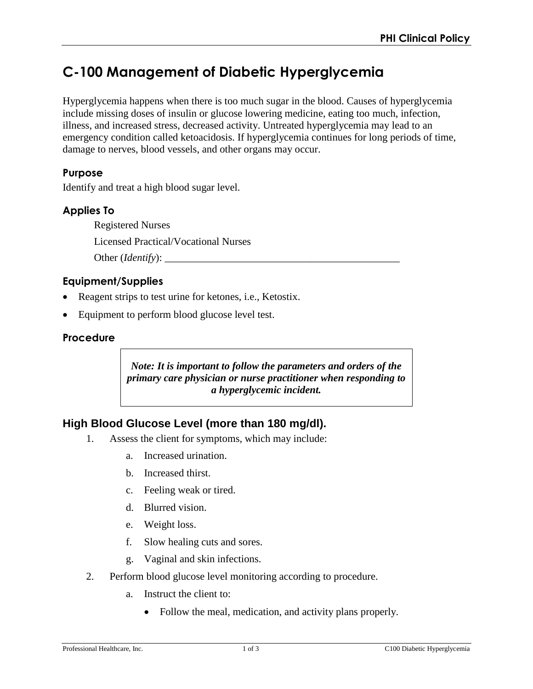# **C-100 Management of Diabetic Hyperglycemia**

Hyperglycemia happens when there is too much sugar in the blood. Causes of hyperglycemia include missing doses of insulin or glucose lowering medicine, eating too much, infection, illness, and increased stress, decreased activity. Untreated hyperglycemia may lead to an emergency condition called ketoacidosis. If hyperglycemia continues for long periods of time, damage to nerves, blood vessels, and other organs may occur.

## **Purpose**

Identify and treat a high blood sugar level.

# **Applies To**

Registered Nurses Licensed Practical/Vocational Nurses Other (*Identify*):

## **Equipment/Supplies**

- Reagent strips to test urine for ketones, i.e., Ketostix.
- Equipment to perform blood glucose level test.

#### **Procedure**

*Note: It is important to follow the parameters and orders of the primary care physician or nurse practitioner when responding to a hyperglycemic incident.* 

## **High Blood Glucose Level (more than 180 mg/dl).**

- 1. Assess the client for symptoms, which may include:
	- a. Increased urination.
	- b. Increased thirst.
	- c. Feeling weak or tired.
	- d. Blurred vision.
	- e. Weight loss.
	- f. Slow healing cuts and sores.
	- g. Vaginal and skin infections.
- 2. Perform blood glucose level monitoring according to procedure.
	- a. Instruct the client to:
		- Follow the meal, medication, and activity plans properly.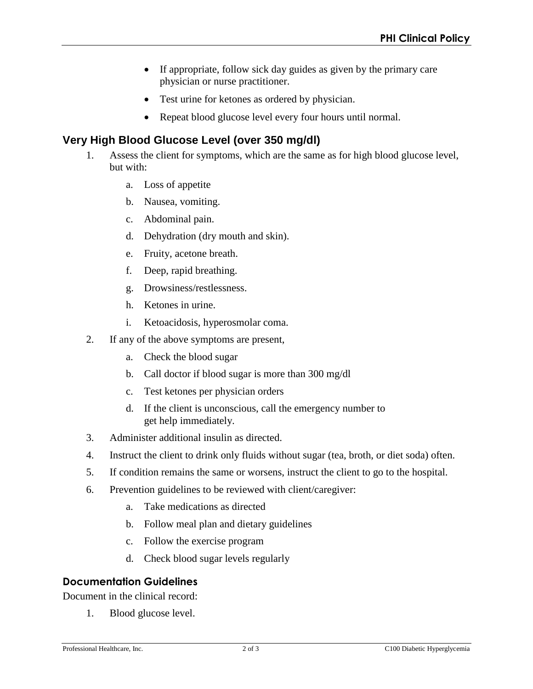- If appropriate, follow sick day guides as given by the primary care physician or nurse practitioner.
- Test urine for ketones as ordered by physician.
- Repeat blood glucose level every four hours until normal.

# **Very High Blood Glucose Level (over 350 mg/dl)**

- 1. Assess the client for symptoms, which are the same as for high blood glucose level, but with:
	- a. Loss of appetite
	- b. Nausea, vomiting.
	- c. Abdominal pain.
	- d. Dehydration (dry mouth and skin).
	- e. Fruity, acetone breath.
	- f. Deep, rapid breathing.
	- g. Drowsiness/restlessness.
	- h. Ketones in urine.
	- i. Ketoacidosis, hyperosmolar coma.
- 2. If any of the above symptoms are present,
	- a. Check the blood sugar
	- b. Call doctor if blood sugar is more than 300 mg/dl
	- c. Test ketones per physician orders
	- d. If the client is unconscious, call the emergency number to get help immediately.
- 3. Administer additional insulin as directed.
- 4. Instruct the client to drink only fluids without sugar (tea, broth, or diet soda) often.
- 5. If condition remains the same or worsens, instruct the client to go to the hospital.
- 6. Prevention guidelines to be reviewed with client/caregiver:
	- a. Take medications as directed
	- b. Follow meal plan and dietary guidelines
	- c. Follow the exercise program
	- d. Check blood sugar levels regularly

## **Documentation Guidelines**

Document in the clinical record:

1. Blood glucose level.